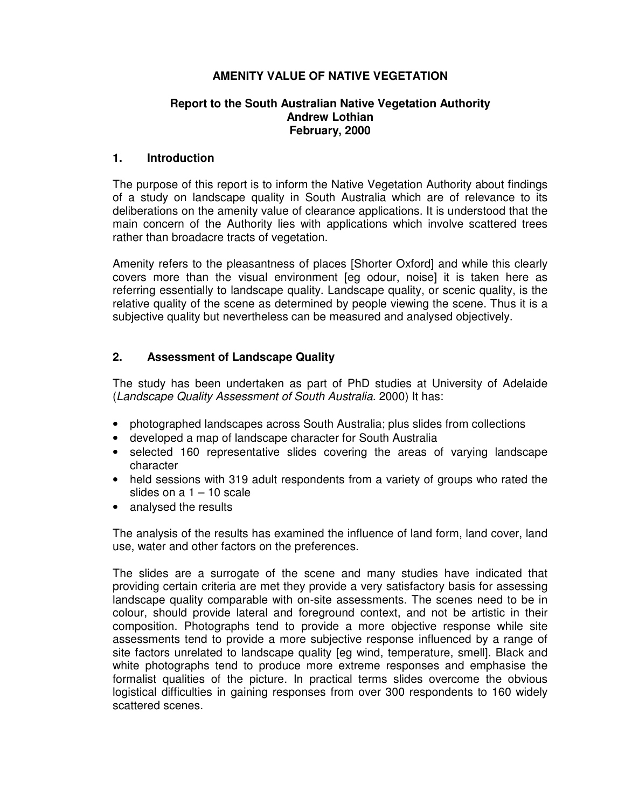# **AMENITY VALUE OF NATIVE VEGETATION**

## **Report to the South Australian Native Vegetation Authority Andrew Lothian February, 2000**

## **1. Introduction**

The purpose of this report is to inform the Native Vegetation Authority about findings of a study on landscape quality in South Australia which are of relevance to its deliberations on the amenity value of clearance applications. It is understood that the main concern of the Authority lies with applications which involve scattered trees rather than broadacre tracts of vegetation.

Amenity refers to the pleasantness of places [Shorter Oxford] and while this clearly covers more than the visual environment [eg odour, noise] it is taken here as referring essentially to landscape quality. Landscape quality, or scenic quality, is the relative quality of the scene as determined by people viewing the scene. Thus it is a subjective quality but nevertheless can be measured and analysed objectively.

# **2. Assessment of Landscape Quality**

The study has been undertaken as part of PhD studies at University of Adelaide (Landscape Quality Assessment of South Australia. 2000) It has:

- photographed landscapes across South Australia; plus slides from collections
- developed a map of landscape character for South Australia
- selected 160 representative slides covering the areas of varying landscape character
- held sessions with 319 adult respondents from a variety of groups who rated the slides on a 1 – 10 scale
- analysed the results

The analysis of the results has examined the influence of land form, land cover, land use, water and other factors on the preferences.

The slides are a surrogate of the scene and many studies have indicated that providing certain criteria are met they provide a very satisfactory basis for assessing landscape quality comparable with on-site assessments. The scenes need to be in colour, should provide lateral and foreground context, and not be artistic in their composition. Photographs tend to provide a more objective response while site assessments tend to provide a more subjective response influenced by a range of site factors unrelated to landscape quality [eg wind, temperature, smell]. Black and white photographs tend to produce more extreme responses and emphasise the formalist qualities of the picture. In practical terms slides overcome the obvious logistical difficulties in gaining responses from over 300 respondents to 160 widely scattered scenes.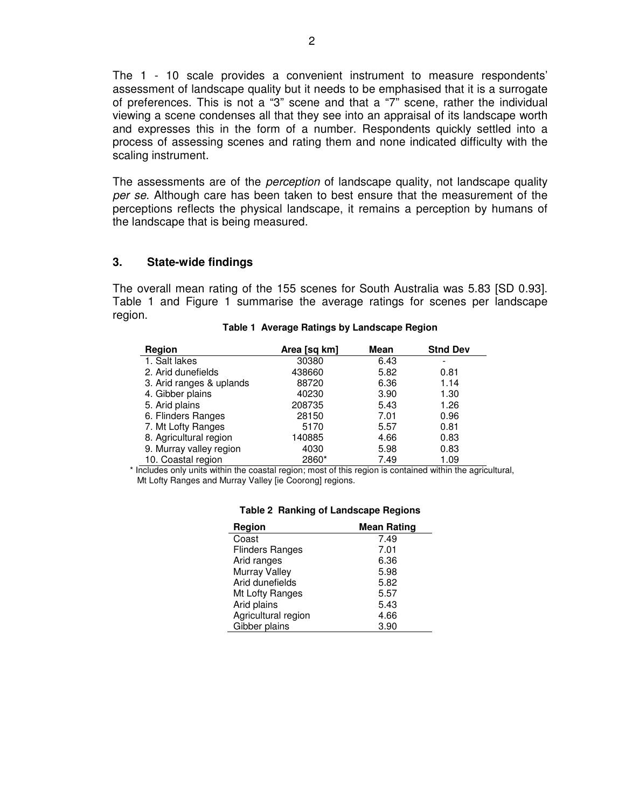The 1 - 10 scale provides a convenient instrument to measure respondents' assessment of landscape quality but it needs to be emphasised that it is a surrogate of preferences. This is not a "3" scene and that a "7" scene, rather the individual viewing a scene condenses all that they see into an appraisal of its landscape worth and expresses this in the form of a number. Respondents quickly settled into a process of assessing scenes and rating them and none indicated difficulty with the scaling instrument.

The assessments are of the *perception* of landscape quality, not landscape quality per se. Although care has been taken to best ensure that the measurement of the perceptions reflects the physical landscape, it remains a perception by humans of the landscape that is being measured.

### **3. State-wide findings**

The overall mean rating of the 155 scenes for South Australia was 5.83 [SD 0.93]. Table 1 and Figure 1 summarise the average ratings for scenes per landscape region.

| Region                   | Area [sq km] | Mean | <b>Stnd Dev</b> |
|--------------------------|--------------|------|-----------------|
| 1. Salt lakes            | 30380        | 6.43 |                 |
| 2. Arid dunefields       | 438660       | 5.82 | 0.81            |
| 3. Arid ranges & uplands | 88720        | 6.36 | 1.14            |
| 4. Gibber plains         | 40230        | 3.90 | 1.30            |
| 5. Arid plains           | 208735       | 5.43 | 1.26            |
| 6. Flinders Ranges       | 28150        | 7.01 | 0.96            |
| 7. Mt Lofty Ranges       | 5170         | 5.57 | 0.81            |
| 8. Agricultural region   | 140885       | 4.66 | 0.83            |
| 9. Murray valley region  | 4030         | 5.98 | 0.83            |
| 10. Coastal region       | 2860*        | 7.49 | 1.09            |

#### **Table 1 Average Ratings by Landscape Region**

\* Includes only units within the coastal region; most of this region is contained within the agricultural, Mt Lofty Ranges and Murray Valley [ie Coorong] regions.

| Region                 | <b>Mean Rating</b> |
|------------------------|--------------------|
| Coast                  | 7.49               |
| <b>Flinders Ranges</b> | 7.01               |
| Arid ranges            | 6.36               |
| Murray Valley          | 5.98               |
| Arid dunefields        | 5.82               |
| Mt Lofty Ranges        | 5.57               |
| Arid plains            | 5.43               |
| Agricultural region    | 4.66               |
| Gibber plains          | 3.90               |

#### **Table 2 Ranking of Landscape Regions**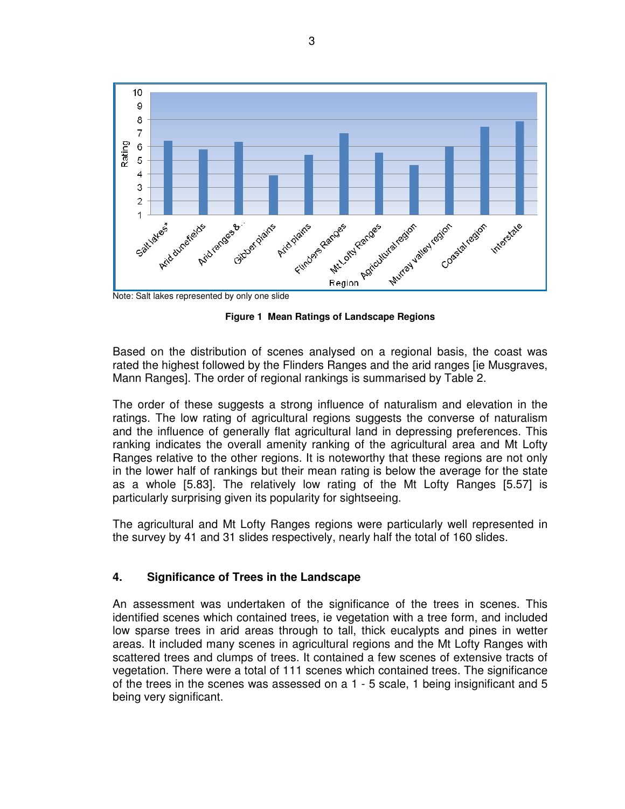

Note: Salt lakes represented by only one slide

**Figure 1 Mean Ratings of Landscape Regions** 

Based on the distribution of scenes analysed on a regional basis, the coast was rated the highest followed by the Flinders Ranges and the arid ranges [ie Musgraves, Mann Ranges]. The order of regional rankings is summarised by Table 2.

The order of these suggests a strong influence of naturalism and elevation in the ratings. The low rating of agricultural regions suggests the converse of naturalism and the influence of generally flat agricultural land in depressing preferences. This ranking indicates the overall amenity ranking of the agricultural area and Mt Lofty Ranges relative to the other regions. It is noteworthy that these regions are not only in the lower half of rankings but their mean rating is below the average for the state as a whole [5.83]. The relatively low rating of the Mt Lofty Ranges [5.57] is particularly surprising given its popularity for sightseeing.

The agricultural and Mt Lofty Ranges regions were particularly well represented in the survey by 41 and 31 slides respectively, nearly half the total of 160 slides.

# **4. Significance of Trees in the Landscape**

An assessment was undertaken of the significance of the trees in scenes. This identified scenes which contained trees, ie vegetation with a tree form, and included low sparse trees in arid areas through to tall, thick eucalypts and pines in wetter areas. It included many scenes in agricultural regions and the Mt Lofty Ranges with scattered trees and clumps of trees. It contained a few scenes of extensive tracts of vegetation. There were a total of 111 scenes which contained trees. The significance of the trees in the scenes was assessed on a 1 - 5 scale, 1 being insignificant and 5 being very significant.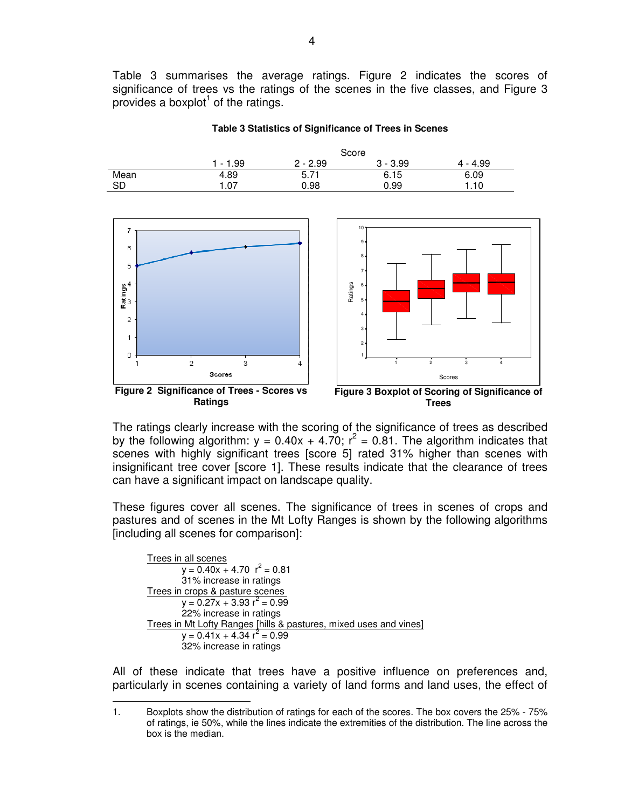Table 3 summarises the average ratings. Figure 2 indicates the scores of significance of trees vs the ratings of the scenes in the five classes, and Figure 3 provides a boxplot $1$  of the ratings.

**Table 3 Statistics of Significance of Trees in Scenes** 







The ratings clearly increase with the scoring of the significance of trees as described by the following algorithm:  $y = 0.40x + 4.70$ ;  $r^2 = 0.81$ . The algorithm indicates that scenes with highly significant trees [score 5] rated 31% higher than scenes with insignificant tree cover [score 1]. These results indicate that the clearance of trees can have a significant impact on landscape quality.

These figures cover all scenes. The significance of trees in scenes of crops and pastures and of scenes in the Mt Lofty Ranges is shown by the following algorithms [including all scenes for comparison]:

```
Trees in all scenes
        y = 0.40x + 4.70 r^2 = 0.8131% increase in ratings 
Trees in crops & pasture scenes 
        y = 0.27x + 3.93 r^2 = 0.9922% increase in ratings 
Trees in Mt Lofty Ranges [hills & pastures, mixed uses and vines]
        y = 0.41x + 4.34 r^2 = 0.9932% increase in ratings
```
All of these indicate that trees have a positive influence on preferences and, particularly in scenes containing a variety of land forms and land uses, the effect of

 $\overline{a}$ 1. Boxplots show the distribution of ratings for each of the scores. The box covers the 25% - 75% of ratings, ie 50%, while the lines indicate the extremities of the distribution. The line across the box is the median.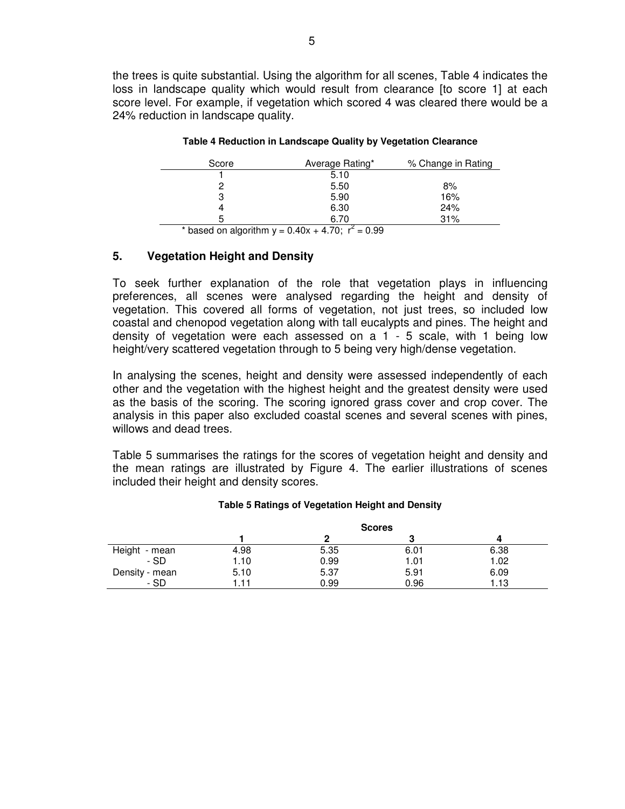the trees is quite substantial. Using the algorithm for all scenes, Table 4 indicates the loss in landscape quality which would result from clearance [to score 1] at each score level. For example, if vegetation which scored 4 was cleared there would be a 24% reduction in landscape quality.

| Score | Average Rating* | % Change in Rating |
|-------|-----------------|--------------------|
|       | 5.10            |                    |
|       | 5.50            | 8%                 |
| 3     | 5.90            | 16%                |
|       | 6.30            | 24%                |
| 5     | 6.70            | 31%                |

#### **Table 4 Reduction in Landscape Quality by Vegetation Clearance**

\* based on algorithm  $y = 0.40x + 4.70$ ;  $r^2 = 0.99$ 

# **5. Vegetation Height and Density**

To seek further explanation of the role that vegetation plays in influencing preferences, all scenes were analysed regarding the height and density of vegetation. This covered all forms of vegetation, not just trees, so included low coastal and chenopod vegetation along with tall eucalypts and pines. The height and density of vegetation were each assessed on a 1 - 5 scale, with 1 being low height/very scattered vegetation through to 5 being very high/dense vegetation.

In analysing the scenes, height and density were assessed independently of each other and the vegetation with the highest height and the greatest density were used as the basis of the scoring. The scoring ignored grass cover and crop cover. The analysis in this paper also excluded coastal scenes and several scenes with pines, willows and dead trees.

Table 5 summarises the ratings for the scores of vegetation height and density and the mean ratings are illustrated by Figure 4. The earlier illustrations of scenes included their height and density scores.

|                | <b>Scores</b> |      |      |      |
|----------------|---------------|------|------|------|
|                |               |      |      |      |
| Height - mean  | 4.98          | 5.35 | 6.01 | 6.38 |
| - SD           | 1.10          | 0.99 | 1.01 | 1.02 |
| Density - mean | 5.10          | 5.37 | 5.91 | 6.09 |
| - SD           | 1.11          | 0.99 | 0.96 | 1.13 |

### **Table 5 Ratings of Vegetation Height and Density**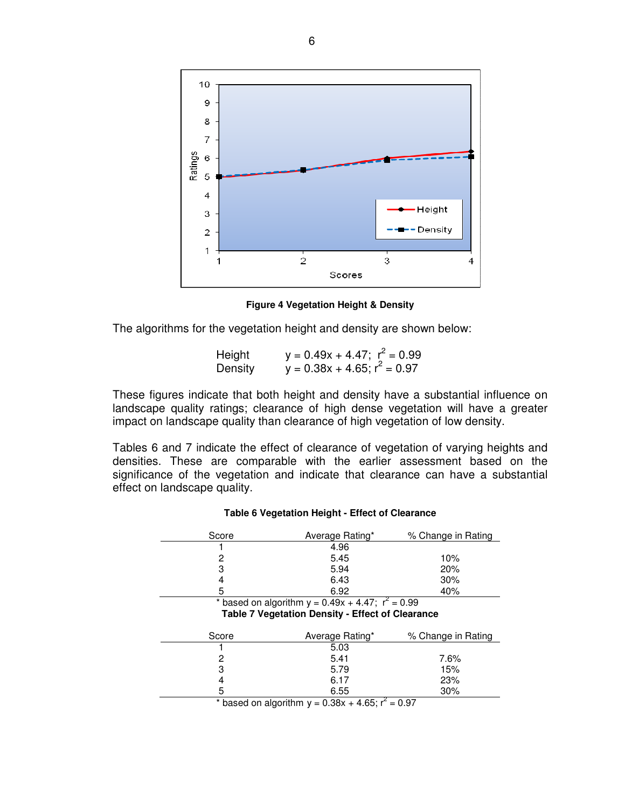

**Figure 4 Vegetation Height & Density** 

The algorithms for the vegetation height and density are shown below:

Height  $y = 0.49x + 4.47$ ;  $r^2 = 0.99$ Density  $y = 0.38x + 4.65$ ;  $r^2 = 0.97$ 

These figures indicate that both height and density have a substantial influence on landscape quality ratings; clearance of high dense vegetation will have a greater impact on landscape quality than clearance of high vegetation of low density.

Tables 6 and 7 indicate the effect of clearance of vegetation of varying heights and densities. These are comparable with the earlier assessment based on the significance of the vegetation and indicate that clearance can have a substantial effect on landscape quality.

#### **Table 6 Vegetation Height - Effect of Clearance**

| Score                                                   | Average Rating*                                        | % Change in Rating   |  |  |
|---------------------------------------------------------|--------------------------------------------------------|----------------------|--|--|
|                                                         | 4.96                                                   |                      |  |  |
| 2                                                       | 5.45                                                   | 10%                  |  |  |
| 3                                                       | 5.94                                                   | 20%                  |  |  |
| 4                                                       | 6.43                                                   | 30%                  |  |  |
| 5                                                       | 6.92                                                   | 40%                  |  |  |
|                                                         | * based on algorithm $y = 0.49x + 4.47$ ; $r^2 = 0.99$ |                      |  |  |
| <b>Table 7 Vegetation Density - Effect of Clearance</b> |                                                        |                      |  |  |
|                                                         |                                                        |                      |  |  |
| Score                                                   | Average Rating*                                        | % Change in Rating   |  |  |
|                                                         | 5.03                                                   |                      |  |  |
| 2                                                       | 5.41                                                   | 7.6%                 |  |  |
| 3                                                       | 5.79                                                   | 15%                  |  |  |
|                                                         | 6.17                                                   | 23%                  |  |  |
| 5                                                       | 6.55                                                   | 30%                  |  |  |
| . .<br>$\mathbf{r}$ and $\mathbf{r}$ and $\mathbf{r}$   | $\sim$<br>.<br>$\sim$ $\sim$                           | $\sim$ $\sim$ $\sim$ |  |  |

\* based on algorithm  $y = 0.38x + 4.65$ ;  $r^2 = 0.97$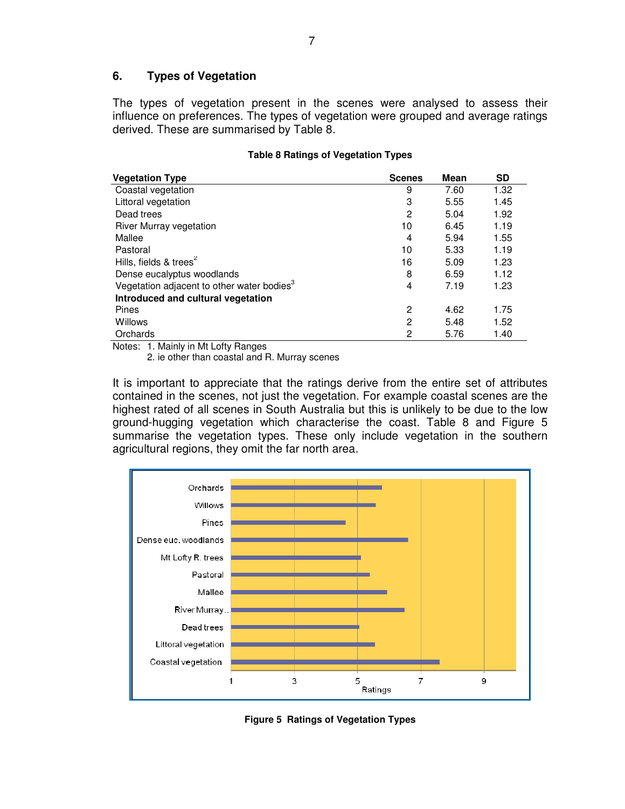# **6. Types of Vegetation**

The types of vegetation present in the scenes were analysed to assess their influence on preferences. The types of vegetation were grouped and average ratings derived. These are summarised by Table 8.

| <b>Vegetation Type</b>                                 | <b>Scenes</b> | Mean | <b>SD</b> |
|--------------------------------------------------------|---------------|------|-----------|
| Coastal vegetation                                     | 9             | 7.60 | 1.32      |
| Littoral vegetation                                    | 3             | 5.55 | 1.45      |
| Dead trees                                             | 2             | 5.04 | 1.92      |
| River Murray vegetation                                | 10            | 6.45 | 1.19      |
| Mallee                                                 | 4             | 5.94 | 1.55      |
| Pastoral                                               | 10            | 5.33 | 1.19      |
| Hills, fields $&$ trees <sup>2</sup>                   | 16            | 5.09 | 1.23      |
| Dense eucalyptus woodlands                             | 8             | 6.59 | 1.12      |
| Vegetation adjacent to other water bodies <sup>3</sup> | 4             | 7.19 | 1.23      |
| Introduced and cultural vegetation                     |               |      |           |
| Pines                                                  | 2             | 4.62 | 1.75      |
| Willows                                                | 2             | 5.48 | 1.52      |
| Orchards                                               | 2             | 5.76 | 1.40      |

### **Table 8 Ratings of Vegetation Types**

Notes: 1. Mainly in Mt Lofty Ranges

2. ie other than coastal and R. Murray scenes

It is important to appreciate that the ratings derive from the entire set of attributes contained in the scenes, not just the vegetation. For example coastal scenes are the highest rated of all scenes in South Australia but this is unlikely to be due to the low ground-hugging vegetation which characterise the coast. Table 8 and Figure 5 summarise the vegetation types. These only include vegetation in the southern agricultural regions, they omit the far north area.



**Figure 5 Ratings of Vegetation Types**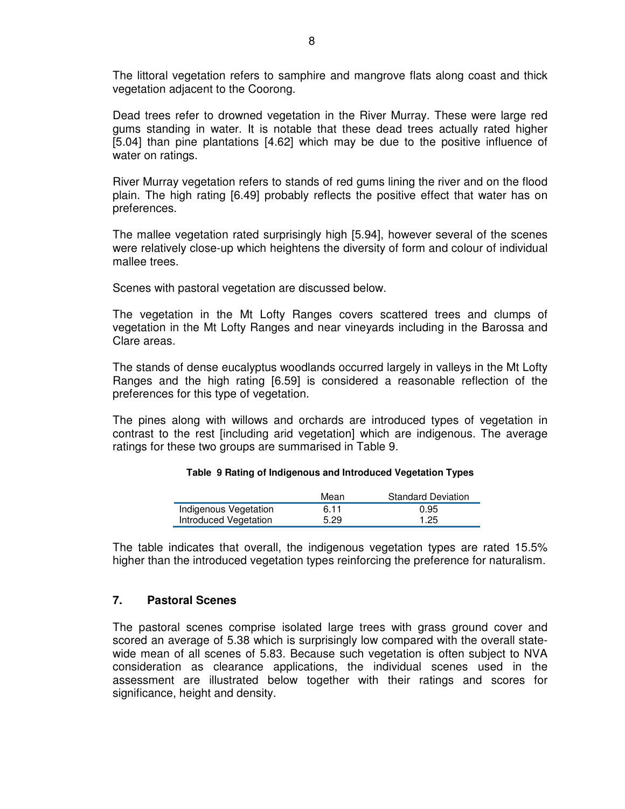The littoral vegetation refers to samphire and mangrove flats along coast and thick vegetation adjacent to the Coorong.

Dead trees refer to drowned vegetation in the River Murray. These were large red gums standing in water. It is notable that these dead trees actually rated higher [5.04] than pine plantations [4.62] which may be due to the positive influence of water on ratings.

River Murray vegetation refers to stands of red gums lining the river and on the flood plain. The high rating [6.49] probably reflects the positive effect that water has on preferences.

The mallee vegetation rated surprisingly high [5.94], however several of the scenes were relatively close-up which heightens the diversity of form and colour of individual mallee trees.

Scenes with pastoral vegetation are discussed below.

The vegetation in the Mt Lofty Ranges covers scattered trees and clumps of vegetation in the Mt Lofty Ranges and near vineyards including in the Barossa and Clare areas.

The stands of dense eucalyptus woodlands occurred largely in valleys in the Mt Lofty Ranges and the high rating [6.59] is considered a reasonable reflection of the preferences for this type of vegetation.

The pines along with willows and orchards are introduced types of vegetation in contrast to the rest [including arid vegetation] which are indigenous. The average ratings for these two groups are summarised in Table 9.

#### **Table 9 Rating of Indigenous and Introduced Vegetation Types**

|                       | Mean | <b>Standard Deviation</b> |
|-----------------------|------|---------------------------|
| Indigenous Vegetation | 6.11 | 0.95                      |
| Introduced Vegetation | 5.29 | 1.25                      |

The table indicates that overall, the indigenous vegetation types are rated 15.5% higher than the introduced vegetation types reinforcing the preference for naturalism.

### **7. Pastoral Scenes**

The pastoral scenes comprise isolated large trees with grass ground cover and scored an average of 5.38 which is surprisingly low compared with the overall statewide mean of all scenes of 5.83. Because such vegetation is often subject to NVA consideration as clearance applications, the individual scenes used in the assessment are illustrated below together with their ratings and scores for significance, height and density.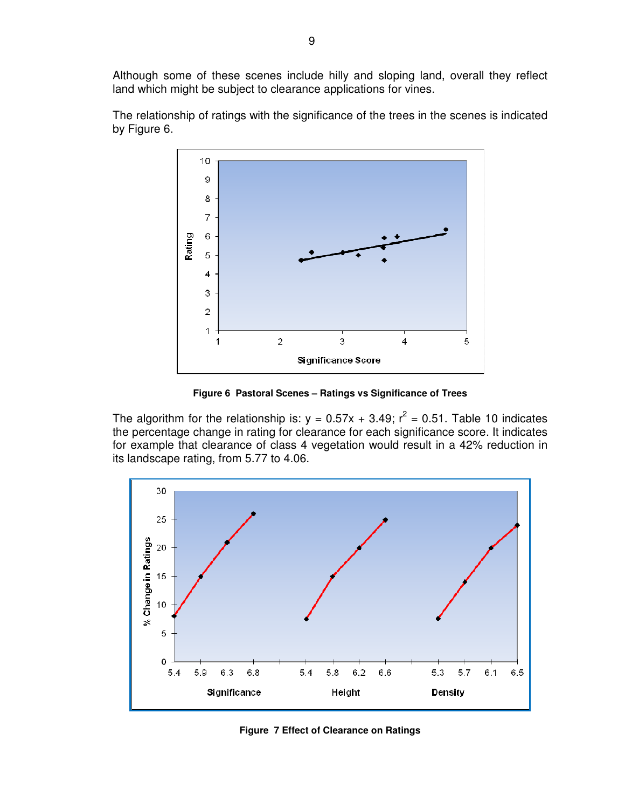Although some of these scenes include hilly and sloping land, overall they reflect land which might be subject to clearance applications for vines.



The relationship of ratings with the significance of the trees in the scenes is indicated by Figure 6.

**Figure 6 Pastoral Scenes – Ratings vs Significance of Trees** 

The algorithm for the relationship is:  $y = 0.57x + 3.49$ ;  $r^2 = 0.51$ . Table 10 indicates the percentage change in rating for clearance for each significance score. It indicates for example that clearance of class 4 vegetation would result in a 42% reduction in its landscape rating, from 5.77 to 4.06.



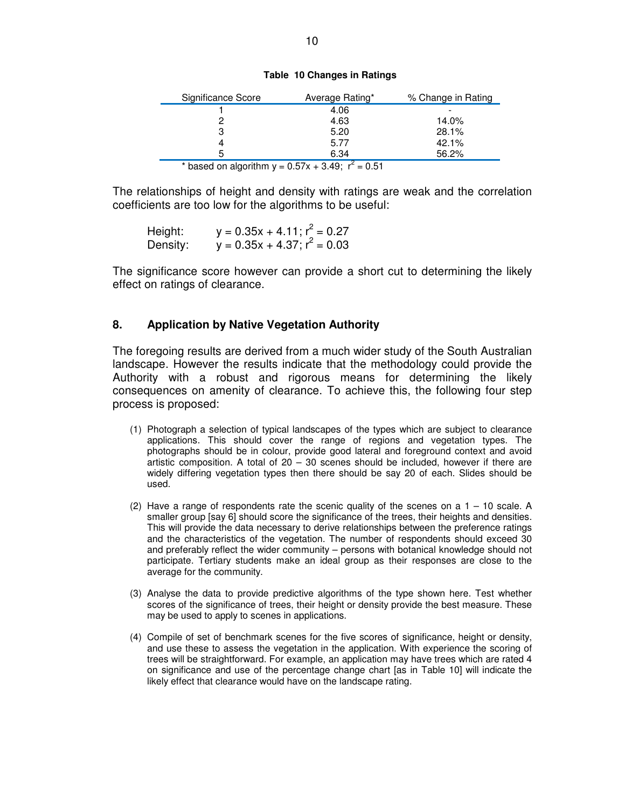|  |  | Table 10 Changes in Ratings |  |  |
|--|--|-----------------------------|--|--|
|--|--|-----------------------------|--|--|

| Significance Score       | Average Rating*                                     | % Change in Rating |
|--------------------------|-----------------------------------------------------|--------------------|
|                          | 4.06                                                |                    |
|                          | 4.63                                                | 14.0%              |
| 3                        | 5.20                                                | 28.1%              |
|                          | 5.77                                                | 42.1%              |
| 5                        | 6.34                                                | 56.2%              |
| $\cdots$<br>$\mathbf{a}$ | $\sim$ $\sim$<br>$\sim$ $-$<br>$\sim$ $\sim$ $\sim$ |                    |

\* based on algorithm  $y = 0.57x + 3.49$ ;  $r^2 = 0.51$ 

The relationships of height and density with ratings are weak and the correlation coefficients are too low for the algorithms to be useful:

| Height:  | $y = 0.35x + 4.11$ ; $r^2 = 0.27$ |
|----------|-----------------------------------|
| Density: | $y = 0.35x + 4.37$ ; $r^2 = 0.03$ |

The significance score however can provide a short cut to determining the likely effect on ratings of clearance.

### **8. Application by Native Vegetation Authority**

The foregoing results are derived from a much wider study of the South Australian landscape. However the results indicate that the methodology could provide the Authority with a robust and rigorous means for determining the likely consequences on amenity of clearance. To achieve this, the following four step process is proposed:

- (1) Photograph a selection of typical landscapes of the types which are subject to clearance applications. This should cover the range of regions and vegetation types. The photographs should be in colour, provide good lateral and foreground context and avoid artistic composition. A total of  $20 - 30$  scenes should be included, however if there are widely differing vegetation types then there should be say 20 of each. Slides should be used.
- (2) Have a range of respondents rate the scenic quality of the scenes on a  $1 10$  scale. A smaller group [say 6] should score the significance of the trees, their heights and densities. This will provide the data necessary to derive relationships between the preference ratings and the characteristics of the vegetation. The number of respondents should exceed 30 and preferably reflect the wider community – persons with botanical knowledge should not participate. Tertiary students make an ideal group as their responses are close to the average for the community.
- (3) Analyse the data to provide predictive algorithms of the type shown here. Test whether scores of the significance of trees, their height or density provide the best measure. These may be used to apply to scenes in applications.
- (4) Compile of set of benchmark scenes for the five scores of significance, height or density, and use these to assess the vegetation in the application. With experience the scoring of trees will be straightforward. For example, an application may have trees which are rated 4 on significance and use of the percentage change chart [as in Table 10] will indicate the likely effect that clearance would have on the landscape rating.